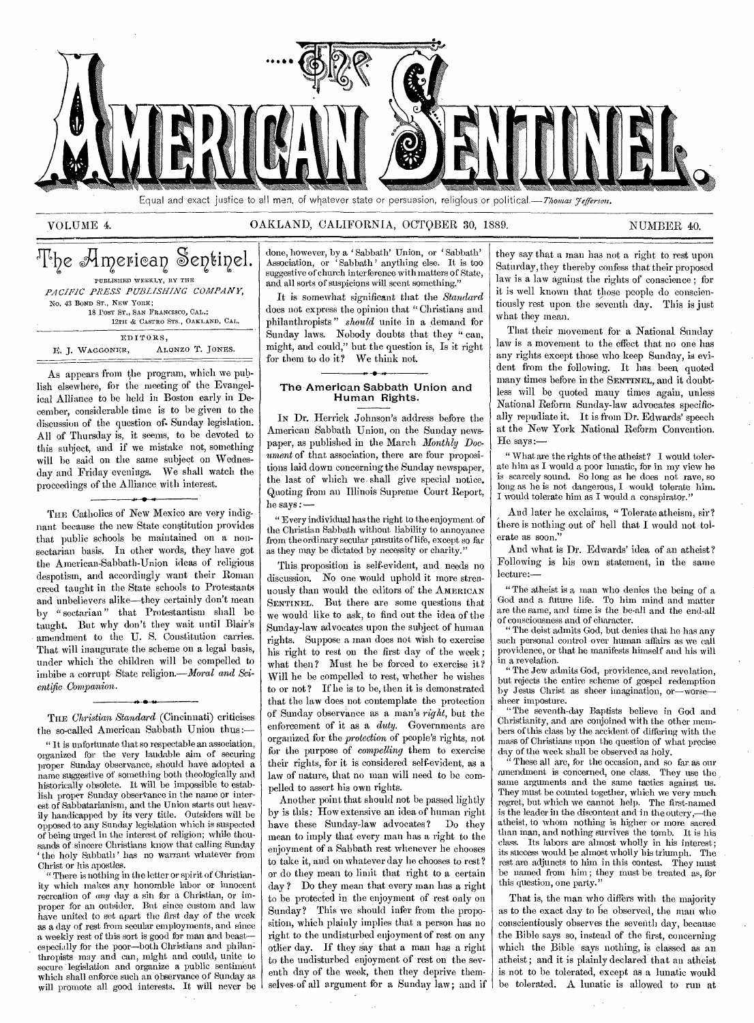

Equal and exact justice to all men, of whatever state or persuasion, religious or political.—Thomas *Jefferson*.

#### VOLUME 4. CALLAND, CALIFORNIA, OCTOBER 30, 1889. NUMBER 40.

|                                   | The American Sentinel. |
|-----------------------------------|------------------------|
| PUBLISHED WEEKLY, BY THE          |                        |
| PACIFIC PRESS PUBLISHING COMPANY, |                        |
| No. 43 BOND ST., NEW YORK;        |                        |
| 18 POST ST., SAN FRANCISCO, CAL.; |                        |
| 12TH & CASTRO STS., OAKLAND, CAL. |                        |
| EDITORS,                          |                        |
| E. J. WAGGONER,                   | ALONZO T. JONES.       |

As appears from the program, which we publish elsewhere, for the meeting of the Evangelical Alliance to be held in Boston early in December, considerable time is to be given to the discussion of the question of. Sunday legislation. All of Thursday is, it seems, to be devoted to this subject, and if we mistake not, something will be said on the same subject on Wednesday and Friday evenings. We shall watch the proceedings of the Alliance with interest.

THE Catholics of New Mexico are very indignant because the new State constitution provides that public schools be maintained on a nonsectarian basis. In other words, they have got the American-Sabbath-Union ideas of religious despotism, and accordingly want their Roman creed taught in the State schools to Protestants and unbelievers alike—they certainly don't mean by " sectarian " that Protestantism shall be taught. But why don't they wait until Blair's amendment to the U. S. Constitution carries. That will inaugurate the scheme on a legal basis, under which 'the children will be compelled to imbibe a corrupt State religion.—Moral *and Scientific Companion.*  **N •** 

THE *Christian Standard* (Cincinnati) criticises the so-called American Sabbath Union thus:—

" It is unfortunate that so respectable an association, organized for the very laudable aim of securing proper Sunday observance, should have adopted a name suggestive of something both theologically and historically obsolete. It will be impossible to establish proper Sunday observance in the name or interest of Sabbatarianism, and the Union starts out heavily handicapped by its very title. Outsiders will be opposed to any Sunday legislation which is suspected of being urged in the interest of religion; while thousands of sincere Christians know that calling Sunday `the holy Sabbath' has no warrant whatever from Christ or his apostles.

" There is nothing in the letter or spirit of Christianity which makes any honorable labor or innocent recreation of any day a sin for a Christian, or improper for an outsider. But since custom and law have united to set apart the first day of the week as a day of rest from secular employments, and since a weekly rest of this sort is good for man and beast especially for the poor—both Christians and philan thropists may and can, might and could, unite to secure 'legislation and organize a public sentiment which shall enforce such an observance of Sunday as will promote all good interests. It will never be done, however, by a ' Sabbath' Union, or ' Sabbath' Association, or ' Sabbath ' anything else. It is too suggestive of church interference with matters of State, and all sorts of suspicions will scent something."

It is somewhat significant that the *Standard*  does not express the opinion that "Christians and philanthropists " *should* unite in a demand for Sunday laws. Nobody doubts that they " can, might, and could," but the question is, Is it right for them to do it? We think not.

#### The American Sabbath Union and Human Rights.

IN Dr. Herrick Johnson's address before the American Sabbath Union, on the Sunday newspaper, as published in the March *Monthly Document* of that association, there are four propositions laid down concerning the Sunday newspaper, the last of which we, shall give special notice. Quoting from au Illinois Supreme Court Report, he says :—

" Every individual has the right to the enjoyment of the Christian Sabbath without liability to annoyance from the ordinary secular pursuits of life, except so far as they may be dictated by necessity or charity."

This proposition is self-evident, and needs no discussion. No one would uphold it more strenuously than would the editors of the AMERICAN SENTINEL. But there are some questions that we would' like to ask, to find out the idea of the Sunday-law advocates upon the subject of human rights. Suppose a man does not wish to exercise his right to rest on the first day of the week; what then? Must he be forced to exercise it? Will he be compelled to rest, whether he wishes to or not? If he is to be, then it is demonstrated that the law does not contemplate the protection of Sunday observance as a man's *right,* but the enforcement of it as a *duty.* Governments are organized for the *protection* of people's rights, not for the purpose of *compelling* them to exercise their rights, for it is considered self-evident, as a law of nature, that no man will need to be compelled to assert his own rights.

Another point that should not be passed lightly by is this: How extensive an idea of human right have these Sunday-law advocates? Do they mean to imply that every man has a right to the enjoyment of a Sabbath rest whenever he chooses to take it, and on whatever day he chooses to rest? or do they mean to limit that right to a certain day ? Do they mean that every man has a right to be protected in the enjoyment of rest only on Sunday? This we should infer from the proposition, which plainly implies that a person has no right to the undisturbed enjoyment of rest on any other day. If they say that a man has a right to the undisturbed enjoyment of rest on the seventh day of the week, then they deprive themselves of all argument for a Sunday law; and if

they say that a man has not a right to rest upon Saturday, they thereby confess that their proposed law is a law against the rights of conscience ; for it is well known that those people do conscientiously rest upon the seventh day. This is just what they mean.

That their movement for a National Sunday law is a movement to the effect that no one has any rights except those who keep Sunday, is evident from the following. It has been quoted many times before in the SENTINEL, and it doubtless will be quoted many times again, unless National Reform Sunday-law advocates specifically repudiate it. It is from Dr. Edwards' speech at the New York National Reform Convention. He says:—

" What are the rights of the atheist? I would tolerate him as I would a poor lunatic, for in my view he is scarcely sound. So long as he does not rave, so long as he is not dangerous, I would tolerate him. I would tolerate him as I would a conspirator."

And later he exclaims, "Tolerate atheism, sir? there is nothing out of hell that I would not tolerate as soon."

And what is Dr. Edwards' idea of an atheist? Following is his own statement, in the same lecture:—

" The atheist is a man who denies the being of a God and a future life. To him mind and matter are the same, and time is the be-all and the end-all of consciousness and of character.

" The deist admits God, but denies -that he has any such personal control over human affairs as we call providence, or that he manifests himself and his will in a revelation.

The Jew admits God, providence, and revelation, but rejects the entire scheme of gospel redemption by Jesus Christ as sheer imagination, or—worse sheer imposture.

"The seventh-day Baptists believe in God and Christianity, and are conjoined with the other members of this class by the accident of differing with the mass of Christians upon the question of what precise day of the week shall be observed as holy.

" These all are, for the occasion, and so far. as our amendment is concerned, one class. They use the same arguments and the same tactics against us. They must be counted together, which we very much regret, but which we cannot help. The first-named is the leader in the discontent and in the outcry,—the atheist, to whom nothing is higher or more sacred than man, and nothing survives the tomb. It is his class. Its labors are almost wholly in his interest; its success would be almost wholly his triumph. The rest are adjuncts to him in this contest. They must be named from him ; they must be treated as, for this question, one party."

That is, the man who differs with the majority as to the exact day to be observed, the man who conscientiously observes the seventh day, because the Bible says so, instead of the first, concerning which the Bible says nothing, is classed as an atheist; and it is plainly declared that an atheist is not to be tolerated, except as a lunatic would be tolerated. A lunatic is allowed to run at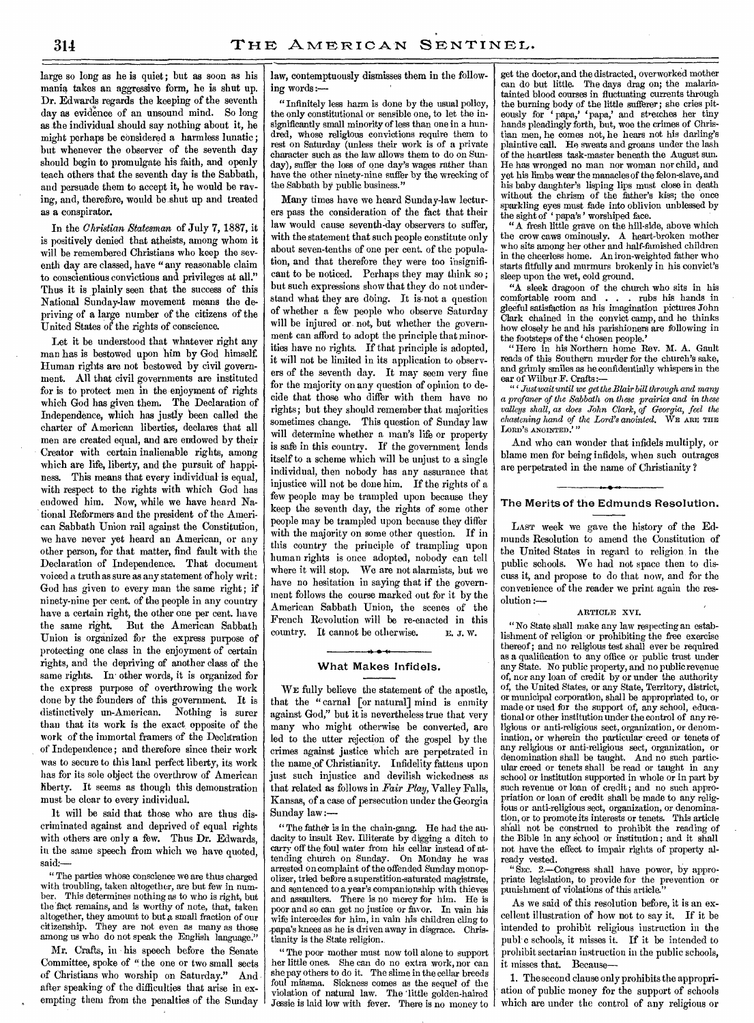large so long as he is quiet; but as soon as his mania takes an aggressive form, he is shut up. Dr. Edwards regards the keeping of the seventh day as evidence of an unsound mind. So long as the individual should say nothing about it, he might perhaps be considered a harmless lunatic ; but whenever the observer of the seventh day should begin to promulgate his faith, and openly teach others that the seventh day is the Sabbath, and persuade them to accept it, he would be raving, and, therefore, would be shut up and treated as a conspirator.

In the *Christian Statesman* of July **7,** 1887, it is positively denied that atheists, among whom it will be remembered Christians who keep the seventh day are classed, have "any reasonable claim to conscientious convictions and privileges at all." Thus it is plainly seen that the success of this National Sunday-law movement means the depriving of a large number of the citizens of the United States of the rights of conscience.

Let it be understood that whatever right any man has is bestowed upon him by God himself. Human rights are not bestowed by civil government. All that civil governments are instituted for is to protect men in the enjoyment of rights which God has given them. The Declaration of Independence, which has justly been called the charter of American liberties, declares that all men are created equal, and are endowed by their Creator with certain inalienable rights, among which are life, liberty, and the pursuit of happiness. This means that every individual is equal, with respect to the rights with which God has endowed him. Now, while we have heard National Reformers and the president of the American Sabbath Union rail against the Constitution, we have never yet heard an American, or any other person, for that matter, find fault with the Declaration of Independence. That document voiced a truth as sure as any statement of holy writ : God has given to every man the same right; if ninety-nine per cent. of the people in any country have a certain right, the other one per cent. have the same right. But the American Sabbath Union is organized for the express purpose of protecting one class in the enjoyment of certain rights, and the depriving of another class of the same rights. In other words, it is organized for the express purpose of overthrowing the work done by the founders of this government. It is distinctively un-American. Nothing is surer than that its work is the exact opposite of the work of the immortal framers of the Declaration of Independence; and therefore since their work was to secure to this land perfect liberty, its work has for its sole object the overthrow of American liberty. It seems as though this demonstration must be clear to every individual.

It will be said that those who are thus discriminated against and deprived of equal rights with others are only a few. Thus Dr. Edwards, in the same speech from which we have quoted, said:-

" The parties whose conscience we are thus charged with troubling, taken altogether, are but few in number. This determines nothing as to who is right, but the fact remains, and is worthy of note, that, taken altogether, they amount to but a small fraction of our citizenship. They are not even as many as those among us who do not speak the English language."

Mr. Crafts, in his speech before the Senate Committee, spoke of " the one or two small sects of Christians who worship on Saturday." And after speaking of the difficulties that arise in exempting them from the penalties of the Sunday law, contemptuously dismisses them in the following words:—

" Infinitely less harm is done by the usual policy, the only constitutional or sensible one, to let the insignificantly small minority of less than one in a hundred, whose religious convictions require them to rest on Saturday (unless their work is of a private character such as the law allows them to do on Sunday), suffer the loss of one day's wages rather than have the other ninety-nine suffer by the wrecking of the Sabbath by public business."

Many times have we heard Sunday-law lecturers pass the consideration of the fact that their law would cause seventh-day observers to suffer, with the statement that such people constitute only about seven-tenths of one per cent. of the population, and that therefore they were too insignificant to be noticed. Perhaps they may think so ; but such expressions show that they do not understand what they are doing. It is not a question of whether a few people who observe Saturday will be injured or not, but whether the government can afford to adopt the principle that minorities have no rights. If that principle is adopted, it will not be limited in its application to observers of the seventh day. It may seem very fine for the majority on any question of opinion to decide that those who differ with them have no rights; but they should remember that majorities sometimes change. This question of Sunday law will determine whether a man's life or property is safe in this country. If the government lends itself to a scheme which will be unjust to a single individual, then nobody has any assurance that injustice will not be done him. If the rights of a few people may be trampled upon because they keep the seventh day, the rights of some other people may be trampled upon because they differ with the majority on some other question. If in this country the principle of trampling upon human rights is once adopted, nobody can tell where it will stop. We are not alarmists, but we have no hesitation in saying that if the government follows the course marked out for it by the American Sabbath Union, the scenes of the French Revolution will be re-enacted in this country. It cannot be otherwise. E. J. W.

#### **A • 1. What Makes Infidels.**

WE fully believe the statement of the apostle, that the "carnal [or natural] mind is enmity against God," but it is nevertheless true that very many who might otherwise be converted, are led to the utter rejection of the gospel by the crimes against justice which are perpetrated in the name of Christianity. Infidelity fattens upon just such injustice and devilish wickedness as that related as follows in *Fair Play,* Valley Falls, Kansas, of a case of persecution under the Georgia Sunday law:—

" The father is in the chain-gang. He had the audacity to insult Rev. Illiterate by digging a ditch to carry off the foul water from his cellar instead of attending church on Sunday. On Monday he was arrested on complaint of the offended Sunday monopolizer, tried before a superstition-saturated magistrate, and sentenced to a year's companionship with thieves and assaulters. There is no mercy for him. He is poor and so can get no justice or favor. In vain his wife intercedes for him, in vain his children cling to papa's knees as he is driven away in disgrace. Christianity is the State religion.

"The poor mother must now toil alone to support her little ones. She can do no extra work, nor can she pay others to do it. The slime in the cellar breeds foul miasma. Sickness comes as the sequel of the violation of natural law. The 'little golden-haired Jessie is laid low with fever. There is no money to

get the doctor, and the distracted, overworked mother can do but little. The days drag on; the malariatainted blood courses in fluctuating currents through the burning body of the little sufferer; she cries pit-<br>eously for 'papa,' 'papa,' and stretches her tiny<br>hands pleadingly forth, but, woe the crimes of Christian men, he comes not, he hears not his darling's plaintive call. He sweats and groans under the lash of the heartless task-master beneath the August sun. He has wronged no man nor woman nor child, and yet his limbs wear the manacles of the felon-slave, and his baby daughter's lisping lips must close in death without the chrism of the father's kiss; the once sparkling eyes must fade into oblivion unblessed by the sight of 'papa's' worshiped face.

"A fresh little grave on the hill-side, above which the crow caws ominously. A heart-broken mother who sits among her other and half-famished children in the cheerless home. An iron-weighted father who starts fitfully and murmurs brokenly in his convict's sleep upon the wet, cold ground.

"A sleek dragoon of the church who sits in his comfortable room and . . . rubs his hands in gleeful satisfaction as his imagination pictures John Clark chained in the convict camp, and he thinks how closely he and his parishioners are following in the footsteps of the 'chosen people.'

"Here in his Northern home Rev. M. A. Gault reads of this Southern murder for the church's sake, and grimly smiles as he confidentially whispers in the

ear of Wilbur F. Crafts:— "'*.Just wait until we get the Blair bill through and many a profaner of the Sabbath* on *these prairies and in these valleys shall, as does John Clark, of Georgia, feel the chastening hand of the Lord's anointed.* WE ARE THE LORD'S ANOINTED.""

And who can wonder that infidels multiply, or blame men for being infidels, when such outrages are perpetrated in the name of Christianity ?

#### **The Merits of the Edmunds Resolution.**

LAST week we gave the history of the Edmunds Resolution to amend the Constitution of the United States in regard to religion, in the public schools. We had not space then to discuss it, and propose to do that now, and for the convenience of the reader we print again the resolution :—

#### ARTICLE XVI.

"No State shall make any law respecting an establishment of religion or prohibiting the free exercise thereof; and no religious test shall ever be required as a qualification to any office or public trust under any State. No public property, and no public revenue of, nor any loan of credit by or under the authority of, the United States, or any State, Territory, district, or municipal corporation, shall be appropriated to, or made or used for the support of, any school, educational or other institution under the control of any religious or anti-religious sect, organization, or denomination, or wherein the particular creed or tenets of any religious or anti-religious sect, organization, or denomination shall be taught. And no such particular creed or tenets shall be read or taught in any school or institution supported in whole or in part by such revenue or loan of credit; and no such appropriation or loan of credit shall be made to any religious or anti-religious sect, organization, or denomination, or to promote its interests or tenets. This article shall not be construed to prohibit the reading of the Bible in any school or institution ; and it shall not have the effect to impair rights of property already vested.

" Sxc. 2.—Congress shall have power, by appropriate legislation, to provide for the prevention or punishment of violations of this article."

As we said of this resolution before, it is an excellent illustration of how not to say it. If it be intended to prohibit religious instruction in the publ c schools, it misses it. If it be intended to prohibit sectarian instruction in the public schools, it misses that. Because-

1. The second clause only prohibits the appropriation of public money for the support of schools which are under the control of any religious or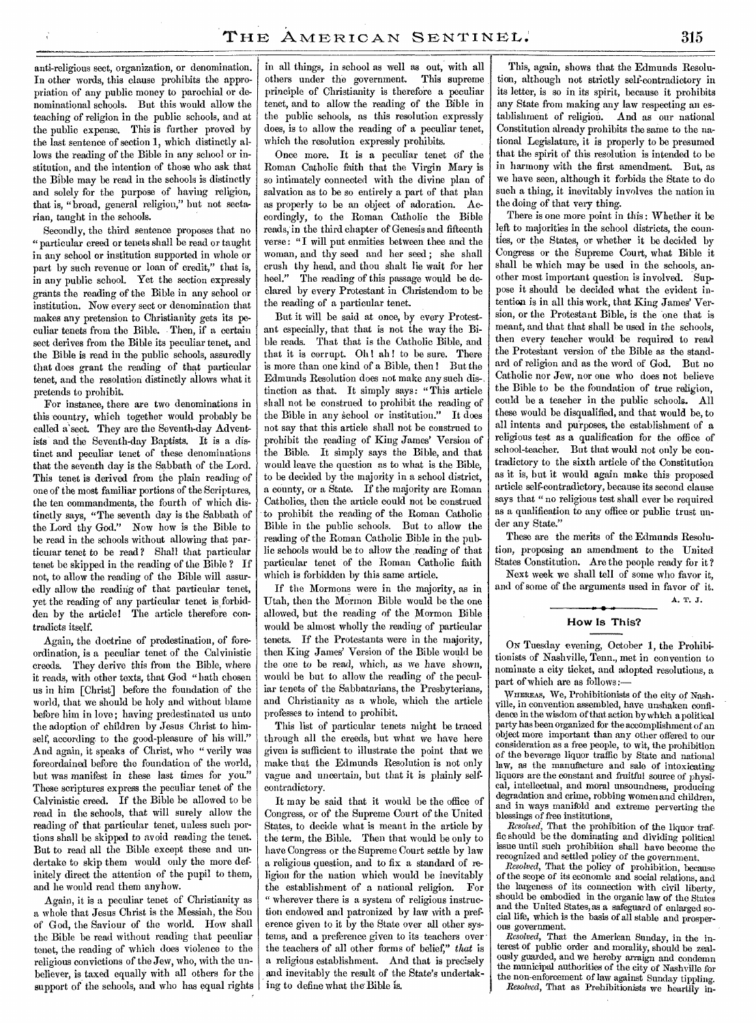anti-religious sect, organization, or denomination. In other words, this clause prohibits the appropriation of any public money to parochial or denominational schools. But this would allow the teaching of religion in the public schools, and at the public expense. This is further proved by the last sentence of section **1,** which distinctly allows the reading of the Bible in any school or institution, and the intention of those who ask that the Bible may be read in the schools is distinctly and solely for the purpose of having religion, that is, "broad, general religion," but not sectarian, taught in the schools.

Secondly, the third sentence proposes that no "particular creed or tenets shall be read or taught in any school or institution supported in whole or part by such revenue or loan of credit," that is, in any public school. Yet the section expressly grants the reading of the Bible in any school or institution. Now every sect or denomination that makes any pretension to Christianity gets its peculiar tenets from the Bible. Then, if a certain sect derives from the Bible its peculiar tenet, and the Bible is read in the public schools, assuredly that does grant the reading of that particular tenet, and the resolution distinctly allows what it pretends to prohibit.

For instance, there are two denominations in this country, which together would probably be called a'sect. They are the Seventh-day Adventists and the Seventh-day Baptists. **It** is a distinct and peculiar tenet of these denominations that the seventh day is the Sabbath of the Lord. This tenet is derived from the plain reading of one of the most familiar portions of the Scriptures, the ten commandments, the fourth of which distinctly says, "The seventh day is the Sabbath of the Lord thy God." Now how is the Bible to be read in the schools without allowing that particular tenet to be read ? Shall that particular tenet be skipped in the reading of the Bible ? If not, to allow the reading of the Bible will assuredly allow the reading of that particular tenet, yet the reading of any particular tenet is forbidden by the article! The article therefore contradicts itself.

Again, the doctrine of predestination, of foreordination, is a peculiar tenet of the Calvinistic creeds. They derive this from the Bible, where it reads, with other texts, that God "hath chosen us in him [Christ] before the foundation of the world, that we should be holy and without blame before him in love; having predestinated us unto the adoption of children by Jesus Christ to himself, according to the good-pleasure of his will." And again, it speaks of Christ, who " verily was foreordained before the foundation of the world, but was manifest in these last times for you." These scriptures express the peculiar tenet of the Calvinistic creed. If the Bible be allowed to be read in the schools, that will surely allow the reading of that particular tenet, unless such portions shall be skipped to avoid reading the tenet. But to read all the Bible except these and undertake to skip them would only the more definitely direct the attention of the pupil to them, and he would read them anyhow.

Again, it is a peculiar tenet of Christianity as a whole that Jesus Christ is the Messiah, the Son of God, the Saviour of the world. How shall the Bible be read without reading that peculiar tenet, the reading of which does violence to the religious convictions of the Jew, who, with the unbeliever, is taxed equally with all others for the support of the schools, and who has equal rights in all things, in school as well as out, with all others under the government. This supreme principle of Christianity is therefore a peculiar tenet, and to allow the reading of the Bible in the public schools, as this resolution expressly does, is to allow the reading of a peculiar tenet, which the resolution expressly prohibits.

Once more. It is a peculiar tenet of the Roman Catholic faith that the Virgin Mary is so intimately connected with the divine plan of salvation as to be so entirely a part of that plan as properly to be an object of adoration. Accordingly, to the Roman Catholic the Bible reads, in the third chapter of Genesis and fifteenth verse: "I will put enmities between thee and the woman, and thy seed and her seed; she shall crush thy head, and thou shalt lie wait for her heel." The reading of this passage would be declared by every Protestant in Christendom to be the reading of a particular tenet.

But it will be said at once, by every Protestant especially, that that is not the way the Bible reads. That that is the Catholic Bible, and that it is corrupt. Oh! ah! to be sure. There is more than one kind of a Bible, then ! But the Edmunds Resolution does not make any such dis-, tinction as that. It simply says: "This article shall not be construed to prohibit the reading of the Bible in any school or institution." It does not say that this article shall not be construed to prohibit the reading of King James' Version of the Bible. It simply says the Bible, and that would leave the question as to what is the Bible, to be decided by the majority in a school district, a county, or a State. If the majority are Roman Catholics, then the article could not be construed to prohibit the reading of the Roman Catholic Bible in the public schools. But to allow the reading of the Roman Catholic Bible in the public schools would be to allow the reading of that particular tenet of the Roman Catholic faith which is forbidden by this same article.

If the Mormons were in the majority, as in Utah, then the Mormon Bible would be the one allowed, but the reading of the Mormon Bible would be almost wholly the reading of particular tenets. If the Protestants were in the majority, then King James' Version of the Bible would be the one to be read, which, as we have shown, would be but to allow the reading of the peculiar tenets of the Sabbatarians, the Presbyterians, and Christianity as a whole, which the article professes to intend to prohibit.

This list of particular tenets might be traced through all the creeds, but what we have here given is sufficient to illustrate the point that we make that the Edmunds Resolution is not only vague and uncertain, but that it is plainly selfcontradictory.

It may be said that it would be the office of Congress, or of the Supreme Court of the United States, to decide what is meant in the article by the term, the Bible. Then that would be only to have Congress or the Supreme Court settle by law a religious question, and to fix a standard of religion for the nation which would be inevitably the establishment of a national religion. For " wherever there is a system of religious instruction endowed and patronized by law with a preference given to it by the State over all other systems, and a preference given to its teachers over the teachers of all other forms of belief," *that* is a religious establishment. And that is precisely and inevitably the result of the State's undertaking to define what the Bible is.

This, again, shows that the Edmunds Resolution, although not strictly self-contradictory in its letter, is so in its spirit, because it prohibits any State from making any law respecting an establishment of religion. And as our national Constitution already prohibits the same to the national Legislature, it is properly to be presumed that the spirit of this resolution is intended to be in harmony with the first amendment. But, as we have seen, although it forbids the State to do such a thing, it inevitably involves the nation in the doing of that very thing.

There is one more point in this: Whether it be left to majorities in the school districts, the counties, or the States, or whether it be decided by Congress or the Supreme Court, what Bible it shall be which may be used in the schools, another most important question is involved. Suppose it should be decided what the evident intention is in all this work, that King James' Version, or the Protestant Bible, is the one that is meant, and that that shall be used in the schools, then every teacher would be required to read the Protestant version of the Bible as the standard of religion and as the word of God. But **no**  Catholic nor Jew, nor one who does not believe the Bible to be the foundation of true religion, could be a teacher in the public schools. All these would be disqualified, and that would be, to all intents and purposes, the establishment of a religious test as a qualification for the office of school-teacher. But that would not only be contradictory to the sixth article of the Constitution as it is, but it would again make this proposed article self-contradictory, because its second clause says that "no religious test shall ever be required as a qualification to any office or public trust under any State."

These are the merits of the Edmunds Resolution, proposing an amendment to the United States Constitution. Are the people ready for it? Next week we shall tell of some who favor it,

and of some of the arguments used in favor of it. A. **T. J.** 

#### **How Is This?**

ON Tuesday evening, October 1, the Prohibitionists of Nashville, Tenn., met in convention to nominate a city ticket, and adopted resolutions, a part of which are as follows :-

WnEREAs, We, Prohibitionists of the city of Nashville, in convention assembled, have unshaken confidence in the wisdom of that action by which a political party has been organized for the accomplishment of an object more important than any other offered to our consideration as a free people, to wit, the prohibition of the beverage liquor traffic by State and national law, as the manufacture and sale of intoxicating liquors are the constant and fruitful source of physical, intellectual, and moral unsoundness, producing degradation and crime, robbing women and children, and in ways manifold and extreme perverting the blessings of free institutions,

*Resolved,* That the prohibition of the liquor traffic should be the dominating and dividing political issue until such prohibition shall have become the recognized and settled policy of the government.

*Resolved,* That the policy of prohibition, because of the scope of its economic and social relations, and the largeness of its connection with civil liberty, should be embodied in the organic law of the States and the United States, as a safeguard of enlarged social life, which is the basis of all stable and prosperous government.

*Resolved,* That the American Sunday, in the interest of public order and morality, should be zealously guarded, and we hereby arraign and condemn the municipal authorities of the city of Nashville for the non-enforcement of law against Sunday tippling. *Resolved,* That as Prohibitionists we heartily in-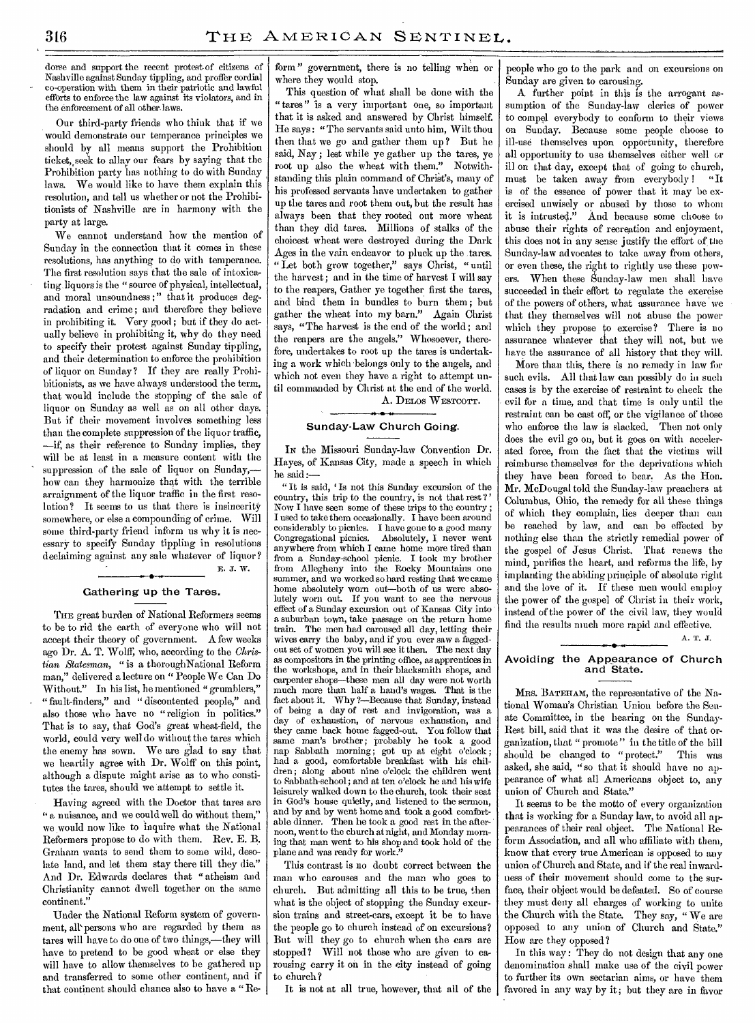dorse and support the recent protest-of citizens of Nashville against Sunday tippling, and proffer cordial co-operation with them in their patriotic and lawful efforts to enforce the law against its violators, and in the enforcement of all other laws.

Our third-party friends who think that if we would demonstrate our temperance principles we should by all means support the Prohibition ticket, seek to allay our fears by saying that the Prohibition party has nothing to do with Sunday laws. We would like to have them explain this resolution, and tell us whether or not the Prohibitionists of Nashville are in harmony with the party at large.

We cannot understand how the mention of Sunday in the connection that it comes in these resolutions, has anything to do with temperance. The first resolution says that the sale of intoxicating liquors is the "source of physical, intellectual, and moral unsoundness :" that it produces degradation and crime; and therefore they believe in prohibiting it. Very good ; but if they do actually believe in prohibiting it, why do they need to specify their protest against Sunday tippling, and their determination to enforce the prohibition of liquor on Sunday? If they are really Prohibitionists, as we have always understood the term, that would include the stopping of the sale of liquor on Sunday as well as on all other days. But if their movement involves something *less*  than the complete suppression of the liquor traffic, —if, as their reference to Sunday implies, they will be at least in a measure content with the suppression of the sale of liquor on Sunday, how can they harmonize that with the terrible arraignment of the liquor traffic in the first resolution? It seems to us that there is insincerity somewhere, or else a compounding of crime. Will some third-party friend inform us why it is necessary to specify Sunday tippling in resolutions declaiming against any sale whatever of liquor? E. J. W. •

#### Gathering up the Tares.

THE great burden of National Reformers seems to be to rid the earth of everyone who will not accept their theory of government. A few weeks ago Dr. A. T. Wolff, who, according to the *Christian Statesman, "* is a thoroughNational Reform man," delivered a lecture on " People We Can Do Without." In his list, he mentioned " grumblers," "fault-finders," and "discontented people," and also those who have no "religion in politics." That is to say, that God's great wheat-field, the world, could very well do without the tares which the enemy has sown. We are glad to say that we heartily agree with Dr. Wolff on this point, although a dispute might arise as to who constitutes the tares, should we attempt to settle it.

Having agreed with the Doctor that tares are " a nuisance, and we could well do without them," we would now like to inquire what the National Reformers propose to do with them. Rev. E. B. Graham wants to send them to some wild, desolate land, and let them stay there till they die." And Dr. Edwards declares that "atheism and Christianity cannot dwell together on the same continent.'

Under the National Reform system of government, all persons who are regarded by them as tares will have to do one of two things,—they will have to pretend to be good wheat or else they will have to allow themselves to be gathered up and transferred to some other continent, and if that continent should chance also to have a "Reform " government, there is no telling when or where they would stop.

This question of what shall be done with the "tares" is a very important one, so important that it is asked and answered by Christ himself. He says: "The servants said unto him, Wilt thou then that we go and gather them up ? But he said, Nay ; lest while ye gather up the tares, ye root up also the wheat with them." Notwithstanding this plain command of Christ's, many of his professed servants have undertaken to gather up the tares and root them out, but the result has always been that they rooted out more wheat than they did tares. Millions of stalks of the choicest wheat were destroyed during the Dark Ages in the vain endeavor to pluck up the tares. "Let both grow together," says Christ, "until the harvest; and in the time of harvest I will say to the reapers, Gather ye together first the tares, and bind them in bundles to burn them ; but gather the wheat into my barn." Again Christ says, "The harvest is the end of the world ; and the reapers are the angels." Whosoever, therefore, undertakes to root up the tares is undertaking a work which belongs only to the angels, and which not even they have a right to attempt until commanded by Christ at the end of the world. A. DELOS WESTCOTT. *sk •* **<sup>40</sup>**

#### Sunday-Law Church Going.

IN the Missouri Sunday-law Convention Dr. Hayes, of Kansas City, made a speech in which he said:—

" It is said, ' Is not this Sunday excursion of the country, this trip to the country, is not that rest ? ' Now I have seen some of these trips to the country ; I used to take them occasionally. I have been around considerably to picnics. I have gone to a good many Congregational picnics. Absolutely, I never went Absolutely, I never went anywhere from which I came home more tired than from a Sunday-school picnic. I took my brother from Allegheny into the Rocky Mountains one summer, and we worked so hard resting that we came home absolutely worn out—both of us were absolutely worn out. If you want to see the nervous effect of a Sunday excursion out of Kansas City into a suburban town, take passage on the return home train. The men had caroused all day, letting their wives carry the baby, and if you ever saw a faggedout set of women you will see it then. The next day as compositors in the printing office, as apprentices in the workshops, and in their blacksmith shops, and carpenter shops—these men all day were not worth much more than half a hand's wages. That is the fact about it. Why ?—Because that Sunday, instead of being a day of rest and invigoration, was a day of exhaustion, of nervous exhaustion, and they came back home fagged-out. You follow that same man's brother; probably he took a good nap Sabbath morning; got up at eight o'clock; had a good, comfortable breakfast with his children; along about nine o'clock the children went to Sabbath-school; and at ten o'clock he and his wife leisurely walked down to the church, took their seat in God's house quietly, and listened to the sermon, and by and by went home and took a good comfortable dinner. Then he took a good rest in the afternoon, went to the church at night, and Monday morning that man went to his shop and took hold of the plane and was ready for work."

This contrast is no doubt correct between the man who carouses and the man who goes to church. But admitting all this to be true, then what is the object of stopping the Sunday excursion trains and street-cars, except it be to have the people go to church instead of on excursions? But will they go to church when the cars are stopped? Will not those who are given to carousing carry it on in the city instead of going to church?

It is not at all true, however, that all of the

people who go to the park and on excursions on Sunday are given to carousing.

A further point in this is the arrogant assumption of the Sunday-law clerics of power to compel everybody to conform to their views on Sunday. Because some people choose to ill-use themselves upon opportunity, therefore all opportunity to use themselves either well or ill on that day, except that of going to church, must be taken away from everybody I "It is of the essence of power that it may be exercised unwisely or abused by those to whom it is intrusted." And because some choose to abuse their rights of recreation and enjoyment, this does not in any sense justify the effort of the Sunday-law advocates to take away from others, or even these, the right to rightly use these powers. When these Sunday-law men shall have succeeded in their effort to regulate the exercise of the powers of others, what assurance have we that they themselves will not abuse the power which they propose to exercise? There is no assurance whatever that they will not, but we have the assurance of all history that they will.

More than this, there is no remedy in law for such evils. All that law can possibly do in such cases is by the exercise of restraint to check the evil for a time, and that time is only until the restraint can be cast off, or the vigilance of those who enforce the law is slacked. Then not only does the evil go on, but it goes on with accelerated force, from the fact that the victims will reimburse themselves for the deprivations which they have been forced to bear. As the Hon. Mr. McDougal told the Sunday-law preachers at Columbus, Ohio, the remedy for all these things of which they complain, lies deeper than can be reached by law, and can be effected by nothing else than the strictly remedial power of the gospel of Jesus Christ. That renews the mind, purifies the heart, and reforms the life, by implanting the abiding principle of absolute right and the love of it. If these men would employ the power of the gospel of Christ in their work, instead of the power of the civil law, they would find the results much more rapid and effective.

A. T. J.

#### Avoiding the Appearance of Church and State.

MRS. BATEHAM, the representative of the National Woman's Christian Union before the Senate Committee, in the hearing on the Sunday-Rest bill, said that it was the desire of that organization, that " promote" in the title of the bill should be changed to "protect." This was asked, she said, "so that it should have no appearance of what all Americans object to, any union of Church and State."

It seems to be the motto of every organization that is working for a Sunday law, to avoid all appearances of their real object. The National Reform Association, and all who affiliate with them, know that every true American is opposed to any union of Church and State, and if the real inwardness of their movement should come to the surface, their object would be defeated. So of course they must deny all charges of working to unite the Church with the State. They say, " We are opposed to any union of Church and State." How are they opposed ?

In this way : They do not design that any one denomination shall make use of the civil power to further its own sectarian aims, or have them favored in any way by it; but they are in favor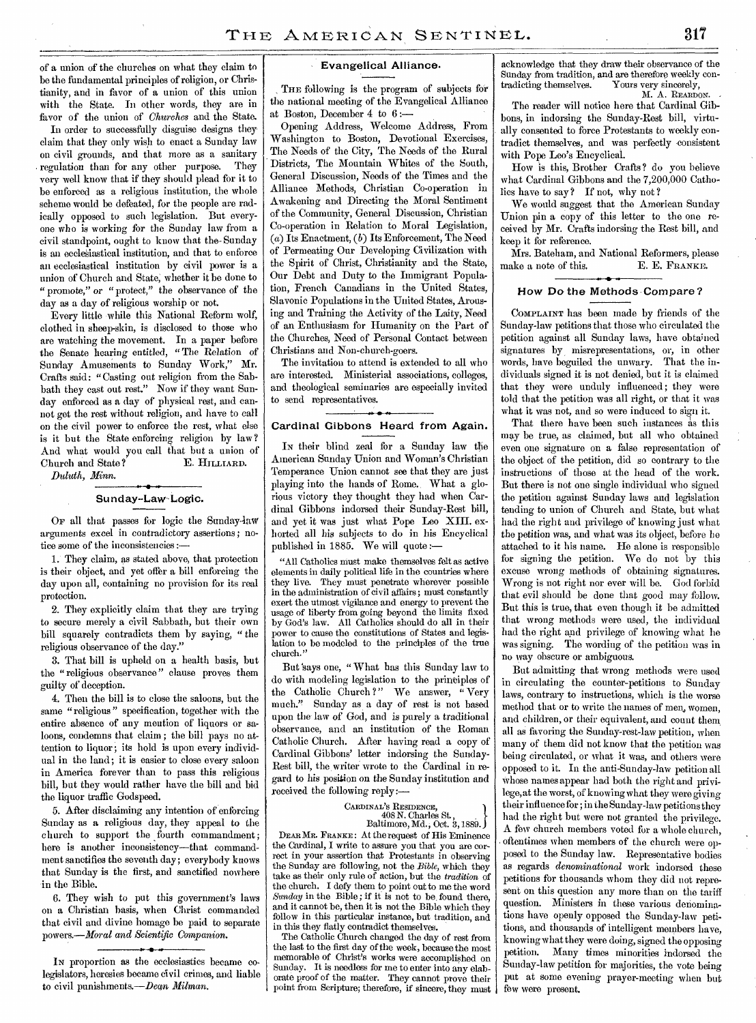**of a union of the churches on what they claim to be the fundamental principles of religion, or Christianity, and in favor of a union of this union with the State. In other words, they are in favor of the union of** *Churches* **and the State.** 

**In order to successfully disguise designs they claim that they only wish to enact a Sunday law on civil grounds, and that more as a sanitary . regulation than for any other purpose. They very well know that** *if* **they should plead for it to be enforced as a religious institution, the whole scheme would be defeated, for the people are radically opposed to such legislation. But everyone who** *is* **working** *for* **the Sunday law from a civil standpoint, ought to know that the- Sunday is an eccleSiastical institution, and that to enforce an ecclesiastical institution** *by* **civil power is a union of Church and State; whether** it **be done to " promote,"** *or* **"protect," the observance of the day as a day of religious worship or not.** 

**Every little while this National Reform wolf, clothed in sheep-skin, is disclosed to those who are watching the movement. In a paper before the Senate hearing** entitled, " The Relation of **Sunday Amusements to Sunday Work,"** Mr. **Crafts said: "Casting out religion from the Sabbath they cast out rest." Now if they want Sunday enforced as a day of physical rest, and cannot get the rest without religion, and have to call on the civil power** to **enforce the rest, what else is it but the State enforcing religion by law? And what would you call that but a union of**  Church and State? E. HILLIARD.

*Duluth, Minn.* 

#### **Sunday-Law-Logic.**

**OF all that passes for logic the Sundaylaw arguments excel in contradictory assertions; notice some of the inconsistencies** 

**1. They claim, as stated above, that protection is their object, and yet offer a bill enforcing the**  day **upon all, containing no provision for its real protection.** 

**2. They explicitly claim that they are trying to secure merely a civil Sabbath, but their own**  bill **squarely contradicts them** *by* **saying, " the religious observance of the day."** 

**3. That bill is upheld on a health basis, but the " religious observance " clause proves them guilty of deception.** 

**4. Then the bill is to close the saloons, but the same "religious" specification, together with the entire absence of any mention of liquors or saloons, condemns that claim ; the bill pays no attention to liquor; its hold is upon every individual in the land; it is easier to close every saloon in America forever than to pass this religious bill, but they would rather have the bill** and **bid the liquor traffic Godspeed.** 

**5. After disclaiming any intention of enforcing Sunday as a religious day, they appeal** to **the church to support the fourth commandment; here is another inconsistency—that commandment sanctifies the seventh day; everybody knows that Sunday is the first, and sanctified nowhere in the Bible.** 

**6. They wish to put this government's laws on a Christian basis, when Christ commanded that civil and divine homage be paid to separate powers.—Moral** *and Scientific Companion.* 

#### **Evangelical Alliance.**

**THE following is the program of subjects for the national meeting of the Evangelical Alliance at Boston, December 4 to 6 :—** 

**Opening Address, Welcome Address, From Washington to Boston, Devotional Exercises, The Needs of the City, The Needs of the Rural Districts, The Mountain Whites of the South,**  General **Discussion, Needs of the Times and the Alliance Methods, Christian Co-operation in Awakening** and **Directing the Moral Sentiment of the Community, General Discussion, Christian Co-operation in** Relation to **Moral Legislation,**  *(a)* **Its Enactment,** *(b)* **Its Enforcement, The Need of Permeating Our Developing Civilization with the Spirit of Christ, Christianity** and **the State, Our Debt and Duty to the Immigrant Population, French Canadians in the United States, Slavonic Populations in the United States, Arousing** and **Training the Activity of the Laity, Need of an Enthusiasm for Humanity** on the Part **of the Churches, Need of Personal Contact between**  Christians and Non-church-goers.

**The invitation to** attend is extended to **all who**  are **interested. Ministerial associations, colleges, and theological seminaries** are **especially invited to send representatives.** 

#### **• -.. Cardinal Gibbons Heard from Again.**

IN **their blind** zeal **for a Sunday law the American Sunday Union and Woman's Christian Temperance Union cannot see that they are just playing into the hands of Rome. What a glorious victory they thought they had when Cardinal Gibbons indorsed their Sunday-Rest bill, and yet it was just what Pope Leo XIII. exhorted all his subjects to do in his Encyclical published** in 1885. **We** will **quote :—** 

**"All Catholics must make themselves felt as active elements in daily political life in the countries where they live. They must penetrate wherever possible in the administration of civil affairs; must constantly exert the utmost vigilance and energy to prevent the usage of liberty from going beyond the limits fixed by God's law. All Catholics should do all in their power to cause the constitutions of States and legislation to be modeled to** the **principles of the true**  church."

But **'says one, "**What **has this Sunday law to do with modeling legislation to the principles of the Catholic Church ?" We answer, " Very much." Sunday as a day of rest is** not **based upon the law of God,** and is **purely a traditional**  observance, and **an institution of the Roman Catholic Church. After having** read **a copy of Cardinal Gibbons' letter indorsing** the **Sunday-Rest bill, the writer wrote to** the **Cardinal in regard to his position on the Sunday institution and received the following reply:—** 

#### **CARDINAL'S RESIDENCE,**

## **408 N. Charles St. , Baltimore, Md., Oct. 3,1889.**

**DEAR MR. FRANKE :** At the **request of His Eminence the Cardinal, I write to assure you that you are correct in your assertion that Protestants in observing the Sunday are following, not the** *Bible,* **which they take as their only rule of action, but the** *tradition* **of the church. I defy them to point out to me the word**  *Sunday* **in the Bible ; if it is** not to be, **found there, and it cannot be, then it is not the Bible which they follow in this particular instance, but tradition, and in this they flatly contradict themselves.** 

**The Catholic Church changed the day of rest from the last to the first day of the** week, **because the most memorable of Christ's works were accomplished on Sunday. It is needless for me to enter into any elaborate proof of the matter. They cannot prove their point from Scripture; therefore, if sincere, they must** 

**acknowledge that they draw their observance of the**  Sunday from tradition, and are therefore weekly contradicting themselves. Yours very sincerely, Yours very sincerely, **M. A. REARDON.** 

**The** reader will **notice** here that **Cardinal Gibbons, in indorsing** the **Sunday-Rest bill, virtually consented to force** Protestants to **weekly contradict themselves, and was perfectly consistent with Pope Leo's Encyclical.** 

**How is this, Brother** Crafts? do you **believe what Cardinal Gibbons** and the 7,200,000 **Catholics** have to say? **If** not, **why** not ?

**We would suggest that** the **American** Sunday **Union pin a copy of this** letter to the one **received by Mr. Crafts indorsing** the Rest bill, and **keep it** for **reference.** 

**Mrs. Bateham,** and **National Reformers, please make a note of this. E. E. FRANKE.** 

#### **How Do the Methods Compare?**

**COMPLAINT** has been **made by friends** of the **Sunday-law petitions** that **those who circulated** the **petition** against all Sunday **laws, have** obtained signatures by **misrepresentations, or, in** other words, have beguiled the **unwary. That** the **individuals** signed it is not denied, but it is **claimed**  that **they were unduly** influenced ; **they were**  told that the **petition was all** right, or that it **was**  what it was not, and so were induced to sign it.

That there have been such instances as this **may** be true, **as claimed, but all who** obtained even **one signature** on a false **representation** of the **object** of the **petition,** did so contrary to the instructions of those at the head of the **work. But** there is not **one** single individual **who** signed the **petition against** Sunday **laws and** legislation tending to union **of Church** and State, but **what had** the right and **privilege of knowing just** what the **petition was,** and **what was its** object, before he attached to it his name. He alone is responsible for signing the petition. We do not by this **excuse wrong** methods of obtaining signatures. Wrong is not right nor ever will be. God forbid that evil should be done that good may follow. **But** this is true, that even though it be admitted that wrong methods **were** used, the individual had the right and **privilege** of knowing what he was **signing.** The wording of the **petition was** in no **way** obscure *or* **ambiguous.** 

**But admitting** that **wrong** methods were used in circulating the **counter-petitions to** Sunday laws, contrary to instructions, which is the **worse**  method that **or to write** the **names** of men, **women,**  and children, or their **equivalent,** and **count** them all as **favoring** the Sunday-rest-law petition, when **many** of them did not **know** that the **petition** was being circulated, or what it **was,** and others **were**  opposed to it. **In** the anti-Sunday-law **petition** all Whose **names** appear had both the **right** and **privilege, at** the worst, of knowing what they were **giving**  their **influence** for; in the **Sunday-law petitions** they had the **right** but **were** not granted the privilege. A few church members voted for a whole church, . oftentimes **when** members of the church **were** opposed to the **Sunday** law. Representative bodies as regards *denominational* work indorsed these petitions for thousands whom they did not **represent on** this **question** any **more** than **on** the tariff **question. Ministers** in these various denominations have openly **opposed** the Sunday-law **petitions,** and thousands of intelligent **members** have, knowing what they were **doing,** signed the opposing petition. **Many** times **minorities** indorsed the Sunday-law petition for **majorities,** the vote being put at **some** evening prayer-meeting **when but few** were present.

**IN proportion as the ecclesiastics became colegislators, heresies became civil crimes,** and **liable to civil punishments.—Dean**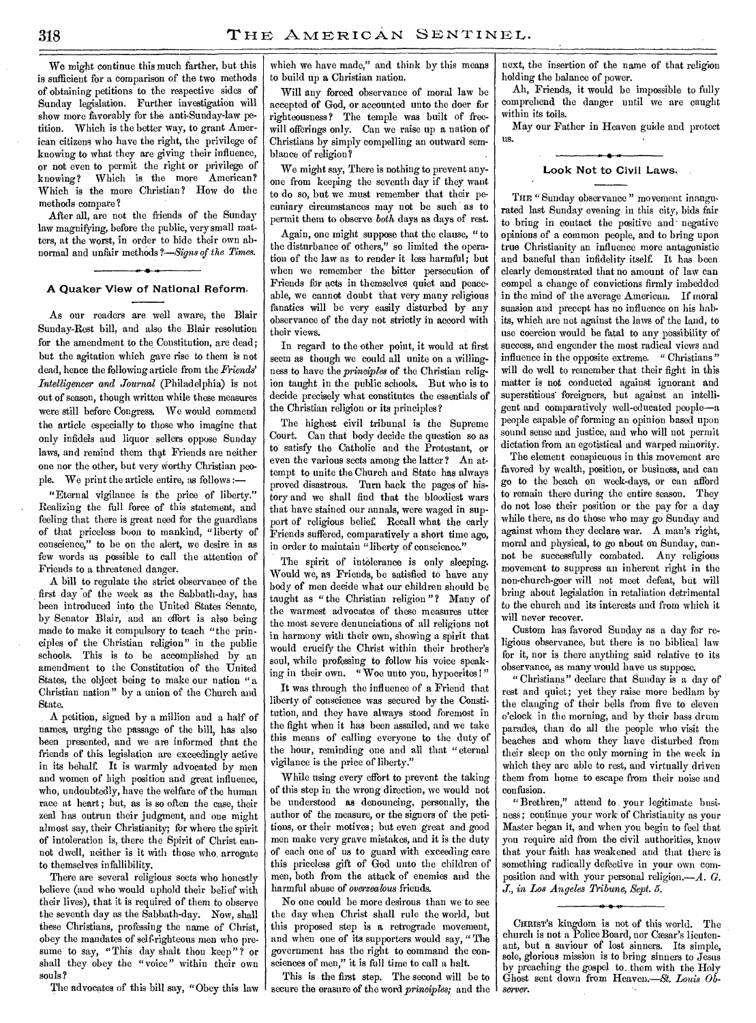We might continue this much farther, but this is sufficient for a comparison of the two methods of obtaining petitions to the respective sides of Sunday legislation. Further investigation will show more favorably for the anti-Sunday-law petition. Which is the better way, to grant American citizens who have the right, the privilege of knowing to what they are giving their influence, or not even to permit the right or privilege of knowing? Which is the more American? Which is the more Christian? How do the methods compare ?

After all, are not the friends of the Sunday law magnifying, before the public, very small matters, at the worst, in order to hide their own abnormal and unfair methods *?—Signs of the Times.* 

#### A **Quaker View of National Reform.**

As our readers are well aware, the Blair Sunday-Rest bill, and also the Blair resolution for the amendment to the Constitution, are dead; but the agitation which gave rise to them is not dead, hence the following article from the *Friends' Intelligencer and Journal* (Philadelphia) is not out of season, though written while these measures were still before Congress. We would commend the article especially to those who imagine that only infidels and liquor sellers oppose Sunday laws, and remind them that Friends are neither one nor the other, but very worthy Christian people. We print the article entire, as follows :—

"Eternal vigilance is the price of liberty." Realizing the full force of this statement, and feeling that there is great need for the guardians of that priceless boon to mankind, "liberty of conscience," to be on the alert, we desire in as few words as possible to call the attention of Friends to a threatened danger.

A bill to regulate the strict observance of the first day of the week as the Sabbath-day, has been introduced into the United States Senate, by Senator Blair, and an effort is also being made to make it compulsory to teach "the principles of the Christian religion" in the public schools. This is to be accomplished by an amendment to the Constitution of the United States, the object being to make our nation " a Christian nation" by a union of the Church and State.

A petition, signed by a million and a half of names, urging the passage of the bill, has also been presented, and we are informed that the friends of this legislation are exceedingly active in its behalf. It is warmly advocated by men and women of high position and great influence, who, undoubtedly, have the welfare of the human race at heart; but, as is so often the case, their zeal has outrun their judgment, and one might almost say, their Christianity; for where the spirit of intoleration is, there the Spirit of Christ cannot dwell, neither is it with those who, arrogate to themselves infallibility.

There are several religious sects who honestly believe (and who would uphold their belief with their lives), that it is required of them to observe the seventh day as the Sabbath-day. Now, shall these Christians, professing the name of Christ, obey the mandates of self-righteous men who presume to say, "This day shalt thou keep"? or shall they obey the "voice" within their own souls ?

The advocates of this bill say, "Obey this law

which we have made," and think by this means to build up *a* Christian nation.

Will any forced observance of moral law be accepted of God, or accounted unto the doer for righteousness ? The temple was built of freewill offerings only. Can we raise up a nation of Christians by simply compelling an outward semblance of religion?

We might say, There is nothing to prevent anyone from keeping the seventh day if they want to do so, but we must remember that their pecuniary circumstances may not be such as to permit them to observe both days as days of rest.

Again, one might suppose that the clause, "to the disturbance of others," so limited the operation of the law as to render it less harmful; but when we remember the bitter persecution of Friends for acts in themselves quiet and peaceable, we cannot doubt that very many religious fanatics will be very easily disturbed by any observance of the day not strictly in accord with their views.

In regard to the other point, it would at first seem as though we could all unite on a willingness to have the *principles* of the Christian religion taught in the public schools. But who is to decide precisely what constitutes the essentials of the Christian religion or its principles?

The highest civil tribunal is the Supreme Court. Can that body decide the question so as to satisfy the Catholic and the Protestant, or even the various sects among the latter? An attempt to unite the Church and State has always proved disastrous. Turn back the pages of history and we shall find that the bloodiest wars that have stained our annals, were waged in support of religious belief. Recall what the early Friends suffered, comparatively a short time ago, in order to maintain "liberty of conscience."

The spirit of intolerance is only sleeping. Would we, as Friends, be satisfied to have any body of men decide what our children should be taught as " the Christian religion"? Many of the warmest advocates of these measures utter the most severe denunciations of all religions not in harmony with their own, showing a spirit that would crucify the Christ within their brother's soul, while professing to follow his voice speaking in their own. " Woe unto you, hypocrites !"

It was through the influence of a Friend that liberty of conscience was secured by the Constitution, and they have always stood foremost in the fight when it has been assailed, and we take this means of calling everyone to the duty of the hour, reminding one and all that "eternal vigilance is the price of liberty."

While using every effort to prevent the taking of this step in the wrong direction, we would not be understood as denouncing, personally, the author of the measure, or the signers of the petitions, or their motives; but even great and good men make very grave mistakes, and it is the duty of each one of us to guard with exceeding care this priceless gift of God unto the children of men, both from the attack of enemies and the harmful abuse of *overzealous* friends.

No one could be more desirous than we to see the day when Christ shall rule the world, but this proposed step is a retrograde movement, and when one of its supporters would say, " The government has the right to command the consciences of men," it is full time to call a halt.

This is the first step. The second will be to secure the erasure of the word *principles;* and the next, the insertion of the name of that religion holding the balance of power.

Ah, Friends, it would be impossible to fully comprehend the danger until we are caught within its toils.

May our Father in Heaven guide and protect us.

#### **Look Not to Civil Laws,**

THE "Sunday observance" movement inaugurated last Sunday evening in this city, bids fair to bring in contact the positive and-negative opinions of a common people, and to bring upon true Christianity an influence more antagonistic and baneful than infidelity itself. It has been clearly demonstrated that no amount of law can compel a change of convictions firmly imbedded in the mind of the average American. If moral suasion and precept has no influence on his habits, which are not against the laws of the laud, to use coercion would be fatal to any possibility of success, and engender the most radical views and influence in the opposite extreme. "Christians" will do well to remember that their fight in this matter is not conducted against ignorant and superstitious' foreigners, but against an intelligent and comparatively well-educated people—a people capable of forming an opinion based upon sound sense and justice, and who will not permit dictation from an egotistical and warped minority.

The element conspicuous in this movement are favored by wealth, position, or business, and can go to the beach on week-days, or can afford to remain there during the entire season. They do not lose their position or the pay for a day while there, as do those who may go Sunday and against whom they declare war. A man's right, moral and physical, to go about on Sunday, cannot be successfully combated. Any religious movement to suppress an inherent right in the non-church-goer will not meet defeat, but will bring about legislation in retaliation detrimental to the church and its interests and from which it will never recover.

Custom has favored Sunday as a day for religious observance, but there is no biblical law for it, nor is there anything said relative to its observance, as many would have us suppose.

" Christians" declare that Sunday is a day of rest and quiet; yet they raise more bedlam by the clanging of their bells from five to eleven o'clock in the morning, and by their bass drum parades, than do all the people who visit the beaches and whom they have disturbed from their sleep on the only morning in the week in which they are able to rest, and virtually driven them from home to escape from their noise and confusion.

"Brethren," attend to . your legitimate business; continue your work of Christianity as your Master began it, and when you begin to feel that you require aid from the civil authorities, know that your faith has weakened and that there is something radically defective in your own composition and with your personal religion.—A. *G. J.,* in *Los Angeles Tribune, Sept. 5.* 

CHRIST's kingdom is not of this world. The church is not a Police Board, nor Cæsar's lieutenant, but a saviour of lost sinners. Its simple, sole, glorious mission is to bring sinners to Jesus by preaching the gospel to. them with the Holy Ghost sent down from Heaven.—St. *Louis Observer.*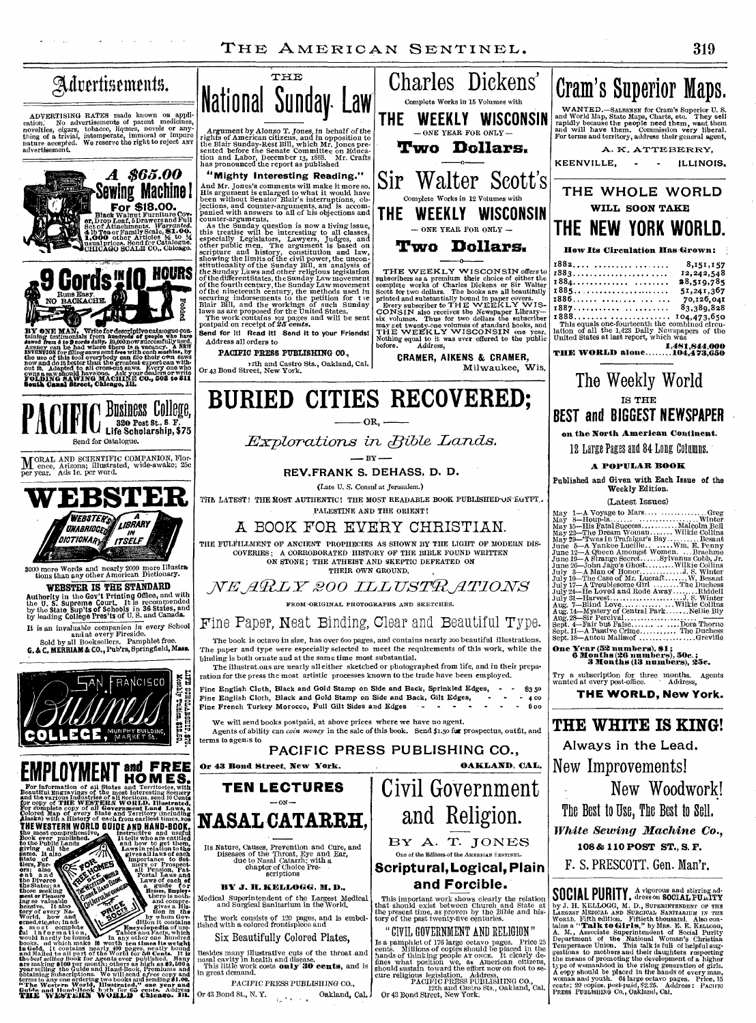